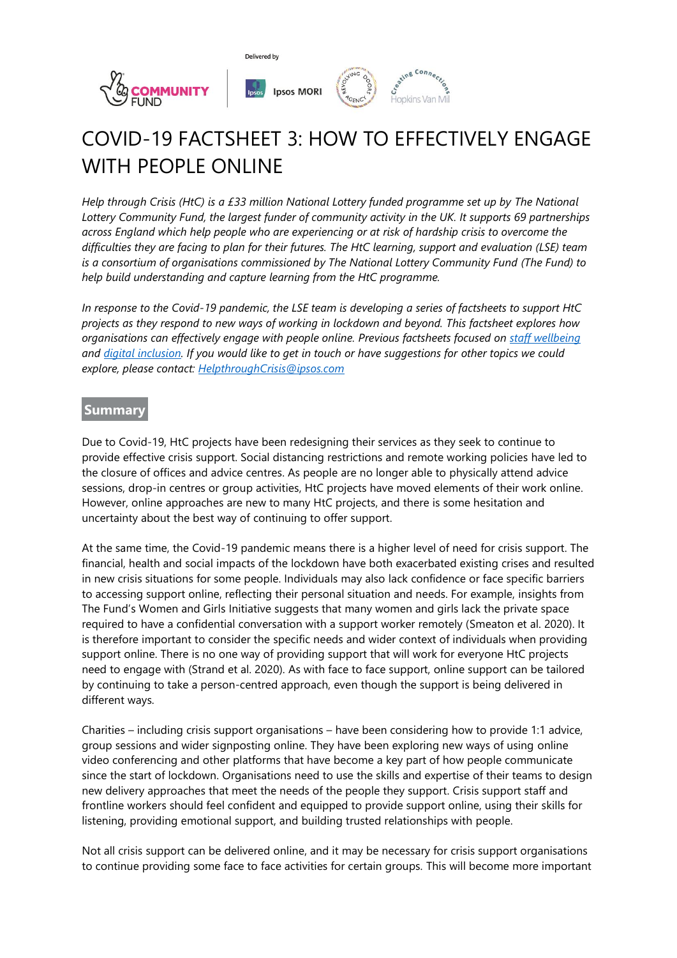

# COVID-19 FACTSHEET 3: HOW TO EFFECTIVELY ENGAGE WITH PEOPLE ONLINE

*Help through Crisis (HtC) is a £33 million National Lottery funded programme set up by The National Lottery Community Fund, the largest funder of community activity in the UK. It supports 69 partnerships across England which help people who are experiencing or at risk of hardship crisis to overcome the difficulties they are facing to plan for their futures. The HtC learning, support and evaluation (LSE) team is a consortium of organisations commissioned by The National Lottery Community Fund (The Fund) to help build understanding and capture learning from the HtC programme.*

*In response to the Covid-19 pandemic, the LSE team is developing a series of factsheets to support HtC projects as they respond to new ways of working in lockdown and beyond. This factsheet explores how organisations can effectively engage with people online. Previous factsheets focused on [staff wellbeing](https://www.tnlcommunityfund.org.uk/media/documents/Help-through-crisis/Help-through-crisis-staff-wellbeing-factsheet.pdf?mtime=20200612141332&focal=none) and [digital inclusion.](https://www.tnlcommunityfund.org.uk/media/documents/Help-through-crisis/Help-through-crisis-digital-inclusion-factsheet.pdf?mtime=20200612141228&focal=none) If you would like to get in touch or have suggestions for other topics we could explore, please contact: [HelpthroughCrisis@ipsos.com](mailto:HelpthroughCrisis@ipsos.com)*

## **Summary**

Due to Covid-19, HtC projects have been redesigning their services as they seek to continue to provide effective crisis support. Social distancing restrictions and remote working policies have led to the closure of offices and advice centres. As people are no longer able to physically attend advice sessions, drop-in centres or group activities, HtC projects have moved elements of their work online. However, online approaches are new to many HtC projects, and there is some hesitation and uncertainty about the best way of continuing to offer support.

At the same time, the Covid-19 pandemic means there is a higher level of need for crisis support. The financial, health and social impacts of the lockdown have both exacerbated existing crises and resulted in new crisis situations for some people. Individuals may also lack confidence or face specific barriers to accessing support online, reflecting their personal situation and needs. For example, insights from The Fund's Women and Girls Initiative suggests that many women and girls lack the private space required to have a confidential conversation with a support worker remotely (Smeaton et al. 2020). It is therefore important to consider the specific needs and wider context of individuals when providing support online. There is no one way of providing support that will work for everyone HtC projects need to engage with (Strand et al. 2020). As with face to face support, online support can be tailored by continuing to take a person-centred approach, even though the support is being delivered in different ways.

Charities – including crisis support organisations – have been considering how to provide 1:1 advice, group sessions and wider signposting online. They have been exploring new ways of using online video conferencing and other platforms that have become a key part of how people communicate since the start of lockdown. Organisations need to use the skills and expertise of their teams to design new delivery approaches that meet the needs of the people they support. Crisis support staff and frontline workers should feel confident and equipped to provide support online, using their skills for listening, providing emotional support, and building trusted relationships with people.

Not all crisis support can be delivered online, and it may be necessary for crisis support organisations to continue providing some face to face activities for certain groups. This will become more important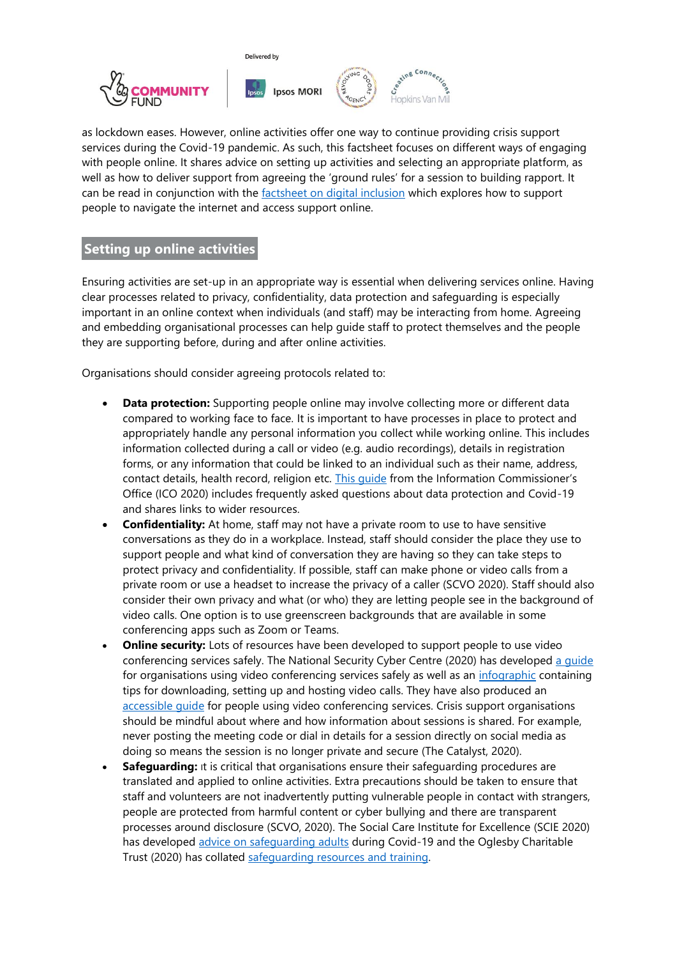

as lockdown eases. However, online activities offer one way to continue providing crisis support services during the Covid-19 pandemic. As such, this factsheet focuses on different ways of engaging with people online. It shares advice on setting up activities and selecting an appropriate platform, as well as how to deliver support from agreeing the 'ground rules' for a session to building rapport. It can be read in conjunction with the [factsheet on digital inclusion](https://www.tnlcommunityfund.org.uk/media/documents/Help-through-crisis/Help-through-crisis-digital-inclusion-factsheet.pdf?mtime=20200612141228&focal=none) which explores how to support people to navigate the internet and access support online.

# **Setting up online activities**

Ensuring activities are set-up in an appropriate way is essential when delivering services online. Having clear processes related to privacy, confidentiality, data protection and safeguarding is especially important in an online context when individuals (and staff) may be interacting from home. Agreeing and embedding organisational processes can help guide staff to protect themselves and the people they are supporting before, during and after online activities.

Organisations should consider agreeing protocols related to:

- **Data protection:** Supporting people online may involve collecting more or different data compared to working face to face. It is important to have processes in place to protect and appropriately handle any personal information you collect while working online. This includes information collected during a call or video (e.g. audio recordings), details in registration forms, or any information that could be linked to an individual such as their name, address, contact details, health record, religion etc. This quide from the Information Commissioner's Office (ICO 2020) includes frequently asked questions about data protection and Covid-19 and shares links to wider resources.
- **Confidentiality:** At home, staff may not have a private room to use to have sensitive conversations as they do in a workplace. Instead, staff should consider the place they use to support people and what kind of conversation they are having so they can take steps to protect privacy and confidentiality. If possible, staff can make phone or video calls from a private room or use a headset to increase the privacy of a caller (SCVO 2020). Staff should also consider their own privacy and what (or who) they are letting people see in the background of video calls. One option is to use greenscreen backgrounds that are available in some conferencing apps such as Zoom or Teams.
- **Online security:** Lots of resources have been developed to support people to use video conferencing services safely. The National Security Cyber Centre (2020) has developed [a guide](https://www.ncsc.gov.uk/guidance/video-conferencing-services-security-guidance-organisations) for organisations using video conferencing services safely as well as an [infographic](https://www.ncsc.gov.uk/files/vtc_infographic.pdf) containing tips for downloading, setting up and hosting video calls. They have also produced an accessible quide for people using video conferencing services. Crisis support organisations should be mindful about where and how information about sessions is shared. For example, never posting the meeting code or dial in details for a session directly on social media as doing so means the session is no longer private and secure (The Catalyst, 2020).
- **Safeguarding:** It is critical that organisations ensure their safeguarding procedures are translated and applied to online activities. Extra precautions should be taken to ensure that staff and volunteers are not inadvertently putting vulnerable people in contact with strangers, people are protected from harmful content or cyber bullying and there are transparent processes around disclosure (SCVO, 2020). The Social Care Institute for Excellence (SCIE 2020) has developed [advice on safeguarding adults](https://www.scie.org.uk/care-providers/coronavirus-covid-19/safeguarding-adults) during Covid-19 and the Oglesby Charitable Trust (2020) has collated [safeguarding resources and training.](https://oglesbycharitabletrust.org.uk/supporting-people-during-the-covid-19-crisis-safeguarding-resources/)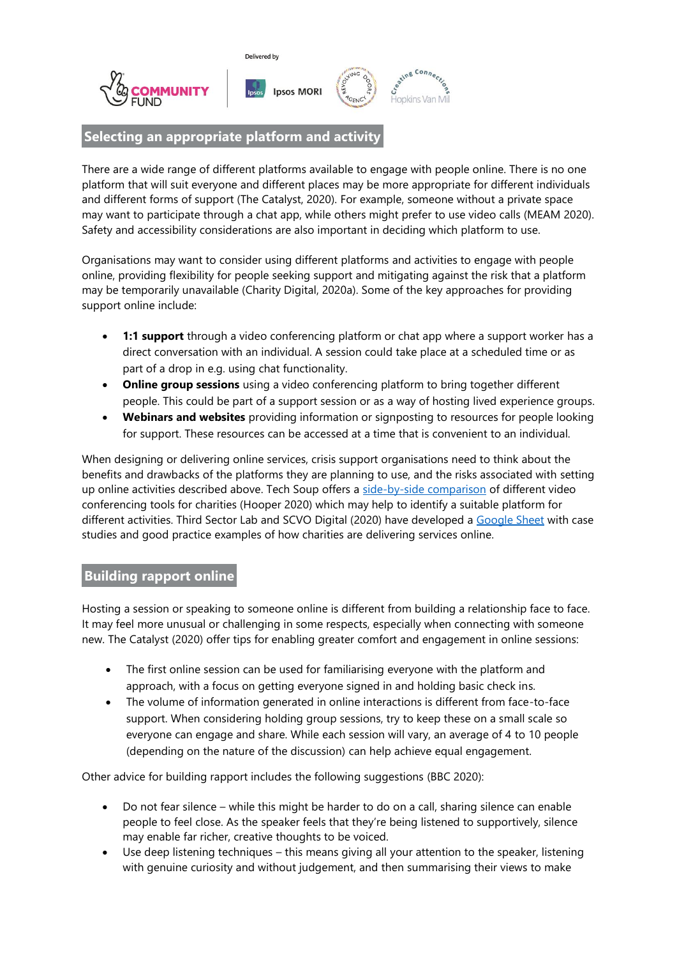

## **Selecting an appropriate platform and activity**

There are a wide range of different platforms available to engage with people online. There is no one platform that will suit everyone and different places may be more appropriate for different individuals and different forms of support (The Catalyst, 2020). For example, someone without a private space may want to participate through a chat app, while others might prefer to use video calls (MEAM 2020). Safety and accessibility considerations are also important in deciding which platform to use.

Organisations may want to consider using different platforms and activities to engage with people online, providing flexibility for people seeking support and mitigating against the risk that a platform may be temporarily unavailable (Charity Digital, 2020a). Some of the key approaches for providing support online include:

- **1:1 support** through a video conferencing platform or chat app where a support worker has a direct conversation with an individual. A session could take place at a scheduled time or as part of a drop in e.g. using chat functionality.
- **Online group sessions** using a video conferencing platform to bring together different people. This could be part of a support session or as a way of hosting lived experience groups.
- **Webinars and websites** providing information or signposting to resources for people looking for support. These resources can be accessed at a time that is convenient to an individual.

When designing or delivering online services, crisis support organisations need to think about the benefits and drawbacks of the platforms they are planning to use, and the risks associated with setting up online activities described above. Tech Soup offers a [side-by-side comparison](https://blog.techsoup.org/posts/understanding-the-videoconferencing-tools-available-to-your-nonprofit) of different video conferencing tools for charities (Hooper 2020) which may help to identify a suitable platform for different activities. Third Sector Lab and SCVO Digital (2020) have developed a [Google Sheet](https://docs.google.com/document/d/1pgVtqrjT5DvLzyE1F5oltVFdPXtAdJSPmiNcFYvQzFc/edit#heading=h.hsou4gcl999y) with case studies and good practice examples of how charities are delivering services online.

## **Building rapport online**

Hosting a session or speaking to someone online is different from building a relationship face to face. It may feel more unusual or challenging in some respects, especially when connecting with someone new. The Catalyst (2020) offer tips for enabling greater comfort and engagement in online sessions:

- The first online session can be used for familiarising everyone with the platform and approach, with a focus on getting everyone signed in and holding basic check ins.
- The volume of information generated in online interactions is different from face-to-face support. When considering holding group sessions, try to keep these on a small scale so everyone can engage and share. While each session will vary, an average of 4 to 10 people (depending on the nature of the discussion) can help achieve equal engagement.

Other advice for building rapport includes the following suggestions (BBC 2020):

- Do not fear silence while this might be harder to do on a call, sharing silence can enable people to feel close. As the speaker feels that they're being listened to supportively, silence may enable far richer, creative thoughts to be voiced.
- Use deep listening techniques this means giving all your attention to the speaker, listening with genuine curiosity and without judgement, and then summarising their views to make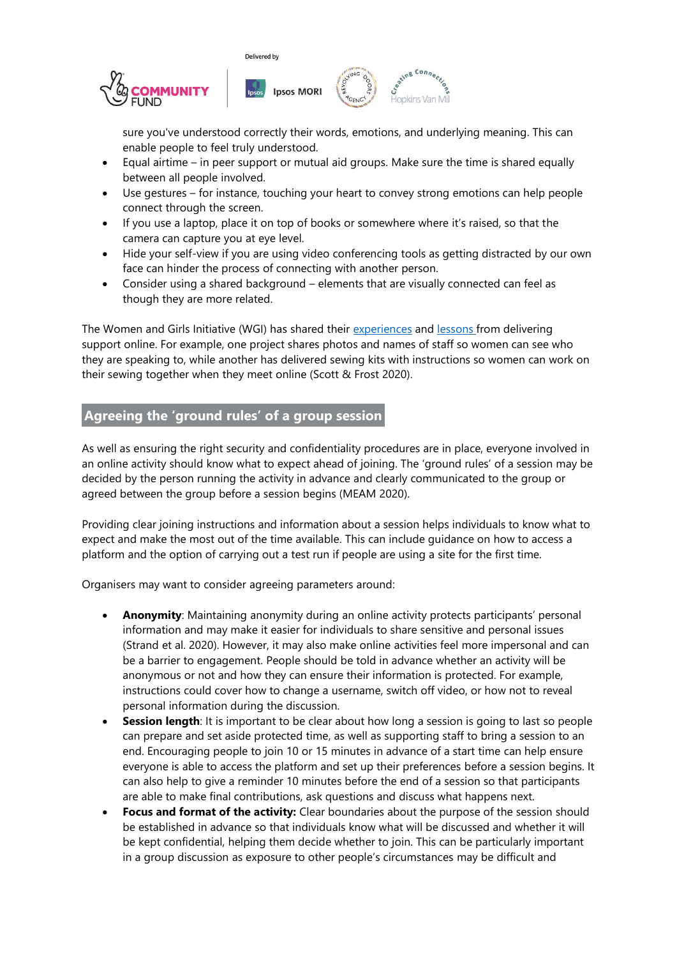



sure you've understood correctly their words, emotions, and underlying meaning. This can enable people to feel truly understood.

- Equal airtime in peer support or mutual aid groups. Make sure the time is shared equally between all people involved.
- Use gestures for instance, touching your heart to convey strong emotions can help people connect through the screen.
- If you use a laptop, place it on top of books or somewhere where it's raised, so that the camera can capture you at eye level.
- Hide your self-view if you are using video conferencing tools as getting distracted by our own face can hinder the process of connecting with another person.
- Consider using a shared background elements that are visually connected can feel as though they are more related.

The Women and Girls Initiative (WGI) has shared their [experiences](https://www.tavinstitute.org/news/virtual-support-and-vulnerability-in-the-women-and-girls-sector/) and [lessons](https://www.tavinstitute.org/news/a-womans-place-is-in-the-on-line-world/) from delivering support online. For example, one project shares photos and names of staff so women can see who they are speaking to, while another has delivered sewing kits with instructions so women can work on their sewing together when they meet online (Scott & Frost 2020).

# **Agreeing the 'ground rules' of a group session**

As well as ensuring the right security and confidentiality procedures are in place, everyone involved in an online activity should know what to expect ahead of joining. The 'ground rules' of a session may be decided by the person running the activity in advance and clearly communicated to the group or agreed between the group before a session begins (MEAM 2020).

Providing clear joining instructions and information about a session helps individuals to know what to expect and make the most out of the time available. This can include guidance on how to access a platform and the option of carrying out a test run if people are using a site for the first time.

Organisers may want to consider agreeing parameters around:

- **Anonymity**: Maintaining anonymity during an online activity protects participants' personal information and may make it easier for individuals to share sensitive and personal issues (Strand et al. 2020). However, it may also make online activities feel more impersonal and can be a barrier to engagement. People should be told in advance whether an activity will be anonymous or not and how they can ensure their information is protected. For example, instructions could cover how to change a username, switch off video, or how not to reveal personal information during the discussion.
- **Session length**: It is important to be clear about how long a session is going to last so people can prepare and set aside protected time, as well as supporting staff to bring a session to an end. Encouraging people to join 10 or 15 minutes in advance of a start time can help ensure everyone is able to access the platform and set up their preferences before a session begins. It can also help to give a reminder 10 minutes before the end of a session so that participants are able to make final contributions, ask questions and discuss what happens next.
- **Focus and format of the activity:** Clear boundaries about the purpose of the session should be established in advance so that individuals know what will be discussed and whether it will be kept confidential, helping them decide whether to join. This can be particularly important in a group discussion as exposure to other people's circumstances may be difficult and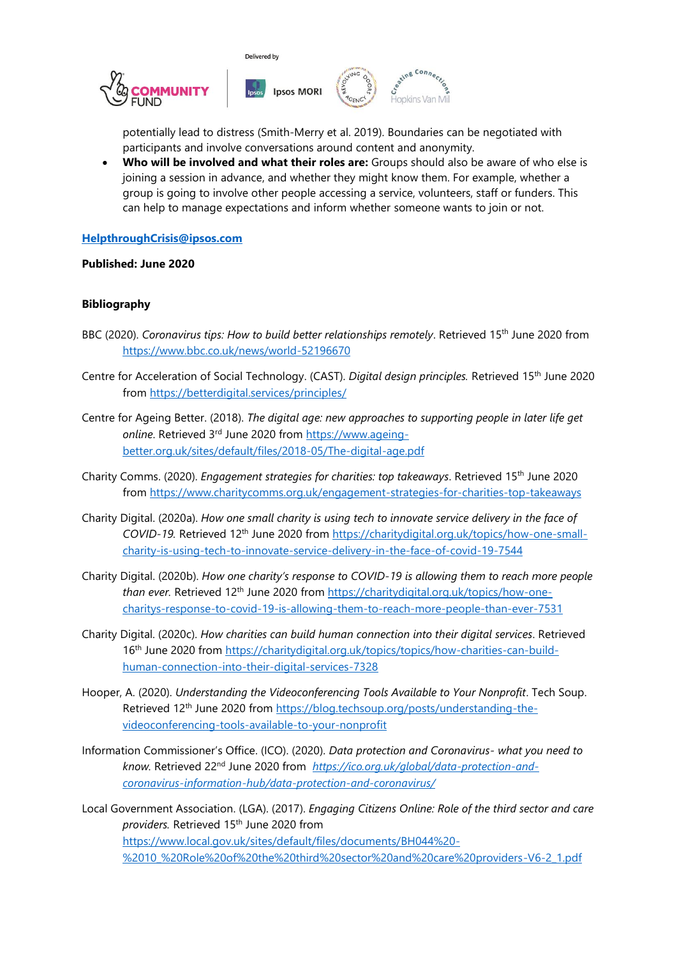

lopkins Van Mil

potentially lead to distress (Smith-Merry et al. 2019). Boundaries can be negotiated with participants and involve conversations around content and anonymity.

• **Who will be involved and what their roles are:** Groups should also be aware of who else is joining a session in advance, and whether they might know them. For example, whether a group is going to involve other people accessing a service, volunteers, staff or funders. This can help to manage expectations and inform whether someone wants to join or not.

#### **[HelpthroughCrisis@ipsos.com](mailto:HelpthroughCrisis@ipsos.com)**

#### **Published: June 2020**

#### **Bibliography**

- BBC (2020). *Coronavirus tips: How to build better relationships remotely*. Retrieved 15<sup>th</sup> June 2020 from <https://www.bbc.co.uk/news/world-52196670>
- Centre for Acceleration of Social Technology. (CAST). *Digital design principles.* Retrieved 15th June 2020 from<https://betterdigital.services/principles/>
- Centre for Ageing Better. (2018). *The digital age: new approaches to supporting people in later life get online*. Retrieved 3rd June 2020 from [https://www.ageing](https://www.ageing-better.org.uk/sites/default/files/2018-05/The-digital-age.pdf)[better.org.uk/sites/default/files/2018-05/The-digital-age.pdf](https://www.ageing-better.org.uk/sites/default/files/2018-05/The-digital-age.pdf)
- Charity Comms. (2020). *Engagement strategies for charities: top takeaways*. Retrieved 15th June 2020 from<https://www.charitycomms.org.uk/engagement-strategies-for-charities-top-takeaways>
- Charity Digital. (2020a). *How one small charity is using tech to innovate service delivery in the face of COVID-19.* Retrieved 12th June 2020 from [https://charitydigital.org.uk/topics/how-one-small](https://charitydigital.org.uk/topics/how-one-small-charity-is-using-tech-to-innovate-service-delivery-in-the-face-of-covid-19-7544)[charity-is-using-tech-to-innovate-service-delivery-in-the-face-of-covid-19-7544](https://charitydigital.org.uk/topics/how-one-small-charity-is-using-tech-to-innovate-service-delivery-in-the-face-of-covid-19-7544)
- Charity Digital. (2020b). *How one charity's response to COVID-19 is allowing them to reach more people than ever.* Retrieved 12<sup>th</sup> June 2020 from [https://charitydigital.org.uk/topics/how-one](https://charitydigital.org.uk/topics/how-one-charitys-response-to-covid-19-is-allowing-them-to-reach-more-people-than-ever-7531)[charitys-response-to-covid-19-is-allowing-them-to-reach-more-people-than-ever-7531](https://charitydigital.org.uk/topics/how-one-charitys-response-to-covid-19-is-allowing-them-to-reach-more-people-than-ever-7531)
- Charity Digital. (2020c). *How charities can build human connection into their digital services*. Retrieved 16th June 2020 from [https://charitydigital.org.uk/topics/topics/how-charities-can-build](https://charitydigital.org.uk/topics/topics/how-charities-can-build-human-connection-into-their-digital-services-7328)[human-connection-into-their-digital-services-7328](https://charitydigital.org.uk/topics/topics/how-charities-can-build-human-connection-into-their-digital-services-7328)
- Hooper, A. (2020). *Understanding the Videoconferencing Tools Available to Your Nonprofit*. Tech Soup. Retrieved 12th June 2020 fro[m https://blog.techsoup.org/posts/understanding-the](https://blog.techsoup.org/posts/understanding-the-videoconferencing-tools-available-to-your-nonprofit)[videoconferencing-tools-available-to-your-nonprofit](https://blog.techsoup.org/posts/understanding-the-videoconferencing-tools-available-to-your-nonprofit)
- Information Commissioner's Office. (ICO). (2020). *Data protection and Coronavirus- what you need to know.* Retrieved 22nd June 2020 from *[https://ico.org.uk/global/data-protection-and](https://ico.org.uk/global/data-protection-and-coronavirus-information-hub/data-protection-and-coronavirus/)[coronavirus-information-hub/data-protection-and-coronavirus/](https://ico.org.uk/global/data-protection-and-coronavirus-information-hub/data-protection-and-coronavirus/)*
- Local Government Association. (LGA). (2017). *Engaging Citizens Online: Role of the third sector and care providers.* Retrieved 15th June 2020 from [https://www.local.gov.uk/sites/default/files/documents/BH044%20-](https://www.local.gov.uk/sites/default/files/documents/BH044%20-%2010_%20Role%20of%20the%20third%20sector%20and%20care%20providers-V6-2_1.pdf) [%2010\\_%20Role%20of%20the%20third%20sector%20and%20care%20providers-V6-2\\_1.pdf](https://www.local.gov.uk/sites/default/files/documents/BH044%20-%2010_%20Role%20of%20the%20third%20sector%20and%20care%20providers-V6-2_1.pdf)